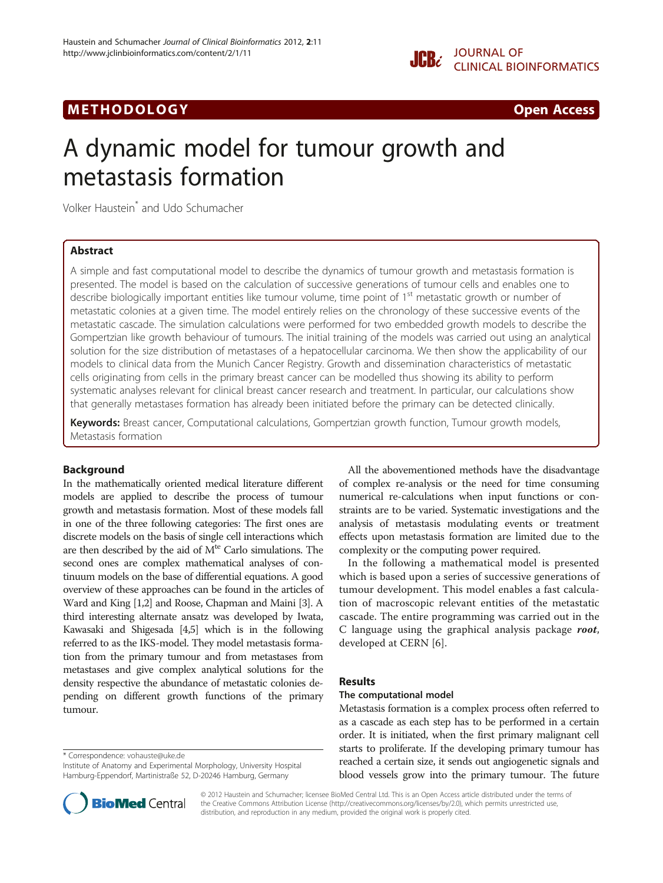## M E THOD O LOGY Open Access

# A dynamic model for tumour growth and metastasis formation

Volker Haustein\* and Udo Schumacher

## Abstract

A simple and fast computational model to describe the dynamics of tumour growth and metastasis formation is presented. The model is based on the calculation of successive generations of tumour cells and enables one to describe biologically important entities like tumour volume, time point of 1<sup>st</sup> metastatic growth or number of metastatic colonies at a given time. The model entirely relies on the chronology of these successive events of the metastatic cascade. The simulation calculations were performed for two embedded growth models to describe the Gompertzian like growth behaviour of tumours. The initial training of the models was carried out using an analytical solution for the size distribution of metastases of a hepatocellular carcinoma. We then show the applicability of our models to clinical data from the Munich Cancer Registry. Growth and dissemination characteristics of metastatic cells originating from cells in the primary breast cancer can be modelled thus showing its ability to perform systematic analyses relevant for clinical breast cancer research and treatment. In particular, our calculations show that generally metastases formation has already been initiated before the primary can be detected clinically.

Keywords: Breast cancer, Computational calculations, Gompertzian growth function, Tumour growth models, Metastasis formation

## Background

In the mathematically oriented medical literature different models are applied to describe the process of tumour growth and metastasis formation. Most of these models fall in one of the three following categories: The first ones are discrete models on the basis of single cell interactions which are then described by the aid of  $M<sup>te</sup>$  Carlo simulations. The second ones are complex mathematical analyses of continuum models on the base of differential equations. A good overview of these approaches can be found in the articles of Ward and King [[1,2](#page-10-0)] and Roose, Chapman and Maini [\[3](#page-10-0)]. A third interesting alternate ansatz was developed by Iwata, Kawasaki and Shigesada [\[4,5\]](#page-10-0) which is in the following referred to as the IKS-model. They model metastasis formation from the primary tumour and from metastases from metastases and give complex analytical solutions for the density respective the abundance of metastatic colonies depending on different growth functions of the primary tumour.

\* Correspondence: [vohauste@uke.de](mailto:vohauste@uke.de)



In the following a mathematical model is presented which is based upon a series of successive generations of tumour development. This model enables a fast calculation of macroscopic relevant entities of the metastatic cascade. The entire programming was carried out in the C language using the graphical analysis package root, developed at CERN [\[6](#page-10-0)].

### Results

#### The computational model

Metastasis formation is a complex process often referred to as a cascade as each step has to be performed in a certain order. It is initiated, when the first primary malignant cell starts to proliferate. If the developing primary tumour has reached a certain size, it sends out angiogenetic signals and blood vessels grow into the primary tumour. The future



© 2012 Haustein and Schumacher; licensee BioMed Central Ltd. This is an Open Access article distributed under the terms of the Creative Commons Attribution License (http://creativecommons.org/licenses/by/2.0), which permits unrestricted use, distribution, and reproduction in any medium, provided the original work is properly cited.

Institute of Anatomy and Experimental Morphology, University Hospital Hamburg-Eppendorf, Martinistraße 52, D-20246 Hamburg, Germany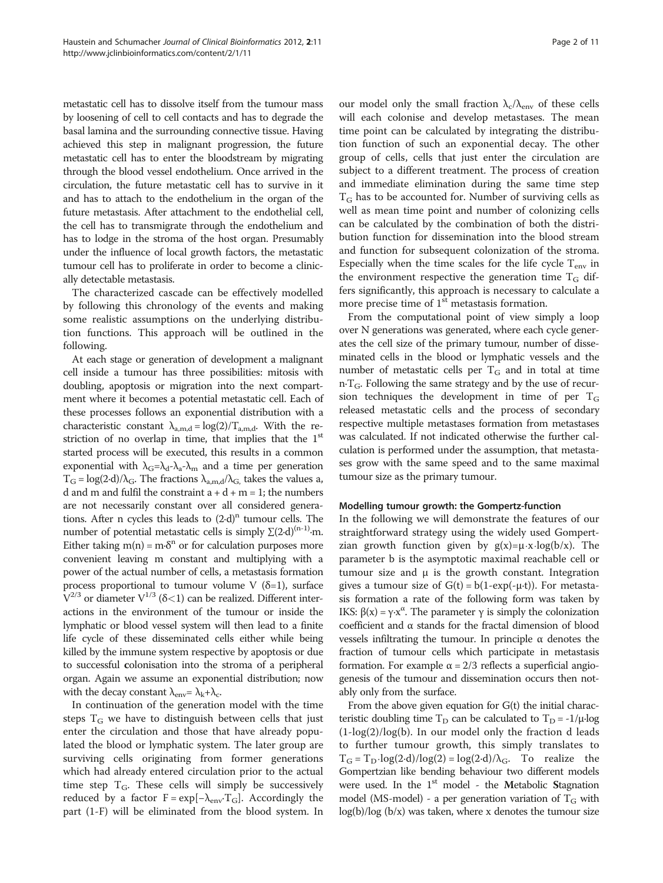metastatic cell has to dissolve itself from the tumour mass by loosening of cell to cell contacts and has to degrade the basal lamina and the surrounding connective tissue. Having achieved this step in malignant progression, the future metastatic cell has to enter the bloodstream by migrating through the blood vessel endothelium. Once arrived in the circulation, the future metastatic cell has to survive in it and has to attach to the endothelium in the organ of the future metastasis. After attachment to the endothelial cell, the cell has to transmigrate through the endothelium and has to lodge in the stroma of the host organ. Presumably under the influence of local growth factors, the metastatic tumour cell has to proliferate in order to become a clinically detectable metastasis.

The characterized cascade can be effectively modelled by following this chronology of the events and making some realistic assumptions on the underlying distribution functions. This approach will be outlined in the following.

At each stage or generation of development a malignant cell inside a tumour has three possibilities: mitosis with doubling, apoptosis or migration into the next compartment where it becomes a potential metastatic cell. Each of these processes follows an exponential distribution with a characteristic constant  $\lambda_{a,m,d} = \log(2)/T_{a,m,d}$ . With the restriction of no overlap in time, that implies that the  $1<sup>st</sup>$ started process will be executed, this results in a common exponential with  $\lambda_G = \lambda_d - \lambda_a - \lambda_m$  and a time per generation  $T_G = \log(2 \cdot d)/\lambda_G$ . The fractions  $\lambda_{a,m,d}/\lambda_G$ , takes the values a, d and m and fulfil the constraint  $a + d + m = 1$ ; the numbers are not necessarily constant over all considered generations. After n cycles this leads to  $(2 \cdot d)^n$  tumour cells. The number of potential metastatic cells is simply  $\Sigma(2\text{-}d)^{(n-1)}$ ·m. Either taking m(n) = m $\delta^n$  or for calculation purposes more convenient leaving m constant and multiplying with a power of the actual number of cells, a metastasis formation process proportional to tumour volume V ( $\delta$ =1), surface  $V^{2/3}$  or diameter  $V^{1/3}$  ( $\delta$ <1) can be realized. Different interactions in the environment of the tumour or inside the lymphatic or blood vessel system will then lead to a finite life cycle of these disseminated cells either while being killed by the immune system respective by apoptosis or due to successful colonisation into the stroma of a peripheral organ. Again we assume an exponential distribution; now with the decay constant  $\lambda_{env} = \lambda_k + \lambda_c$ .

In continuation of the generation model with the time steps  $T_G$  we have to distinguish between cells that just enter the circulation and those that have already populated the blood or lymphatic system. The later group are surviving cells originating from former generations which had already entered circulation prior to the actual time step  $T_G$ . These cells will simply be successively reduced by a factor  $F = exp[-\lambda_{env} \cdot T_G]$ . Accordingly the part (1-F) will be eliminated from the blood system. In

our model only the small fraction  $\lambda_c/\lambda_{env}$  of these cells will each colonise and develop metastases. The mean time point can be calculated by integrating the distribution function of such an exponential decay. The other group of cells, cells that just enter the circulation are subject to a different treatment. The process of creation and immediate elimination during the same time step  $T_G$  has to be accounted for. Number of surviving cells as well as mean time point and number of colonizing cells can be calculated by the combination of both the distribution function for dissemination into the blood stream and function for subsequent colonization of the stroma. Especially when the time scales for the life cycle  $T_{env}$  in the environment respective the generation time  $T_G$  differs significantly, this approach is necessary to calculate a more precise time of  $1<sup>st</sup>$  metastasis formation.

From the computational point of view simply a loop over N generations was generated, where each cycle generates the cell size of the primary tumour, number of disseminated cells in the blood or lymphatic vessels and the number of metastatic cells per  $T_G$  and in total at time  $n \cdot T_G$ . Following the same strategy and by the use of recursion techniques the development in time of per  $T_G$ released metastatic cells and the process of secondary respective multiple metastases formation from metastases was calculated. If not indicated otherwise the further calculation is performed under the assumption, that metastases grow with the same speed and to the same maximal tumour size as the primary tumour.

#### Modelling tumour growth: the Gompertz-function

In the following we will demonstrate the features of our straightforward strategy using the widely used Gompertzian growth function given by  $g(x)=\mu \cdot x \cdot \log(b/x)$ . The parameter b is the asymptotic maximal reachable cell or tumour size and μ is the growth constant. Integration gives a tumour size of  $G(t) = b(1-\exp(-\mu \cdot t))$ . For metastasis formation a rate of the following form was taken by IKS:  $β(x) = γ·x<sup>α</sup>$ . The parameter γ is simply the colonization coefficient and α stands for the fractal dimension of blood vessels infiltrating the tumour. In principle α denotes the fraction of tumour cells which participate in metastasis formation. For example  $\alpha = 2/3$  reflects a superficial angiogenesis of the tumour and dissemination occurs then notably only from the surface.

From the above given equation for  $G(t)$  the initial characteristic doubling time T<sub>D</sub> can be calculated to T<sub>D</sub> = -1/ $\mu$ ⋅log  $(1-\log(2)/\log(b))$ . In our model only the fraction d leads to further tumour growth, this simply translates to  $T_G = T_D \cdot \log(2 \cdot d) / \log(2) = \log(2 \cdot d) / \lambda_G$ . To realize the Gompertzian like bending behaviour two different models were used. In the  $1<sup>st</sup>$  model - the Metabolic Stagnation model (MS-model) - a per generation variation of  $T<sub>G</sub>$  with log(b)/log (b/x) was taken, where x denotes the tumour size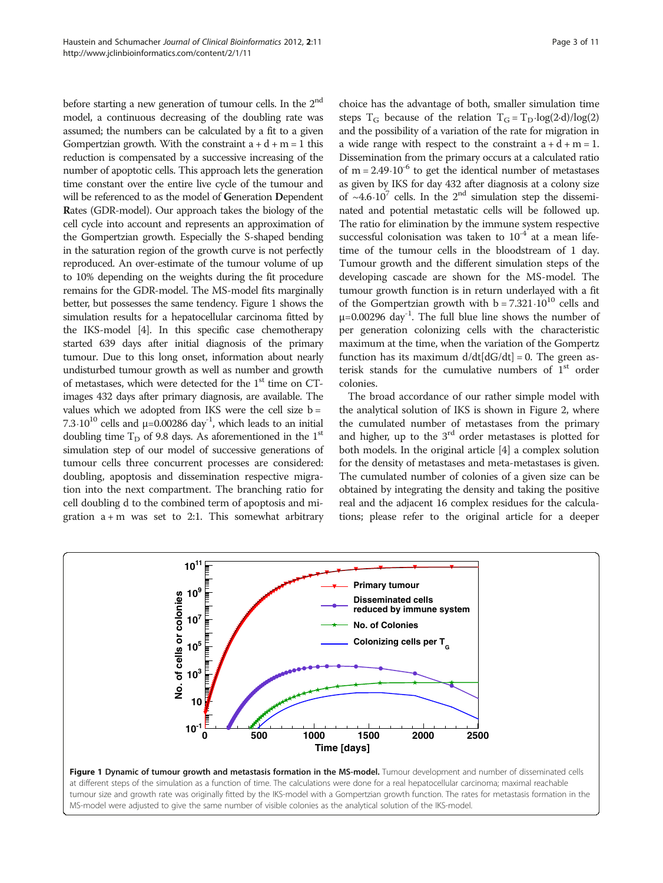<span id="page-2-0"></span>before starting a new generation of tumour cells. In the 2<sup>nd</sup> model, a continuous decreasing of the doubling rate was assumed; the numbers can be calculated by a fit to a given Gompertzian growth. With the constraint  $a + d + m = 1$  this reduction is compensated by a successive increasing of the number of apoptotic cells. This approach lets the generation time constant over the entire live cycle of the tumour and will be referenced to as the model of Generation Dependent Rates (GDR-model). Our approach takes the biology of the cell cycle into account and represents an approximation of the Gompertzian growth. Especially the S-shaped bending in the saturation region of the growth curve is not perfectly reproduced. An over-estimate of the tumour volume of up to 10% depending on the weights during the fit procedure remains for the GDR-model. The MS-model fits marginally better, but possesses the same tendency. Figure 1 shows the simulation results for a hepatocellular carcinoma fitted by the IKS-model [[4](#page-10-0)]. In this specific case chemotherapy started 639 days after initial diagnosis of the primary tumour. Due to this long onset, information about nearly undisturbed tumour growth as well as number and growth of metastases, which were detected for the  $1<sup>st</sup>$  time on CTimages 432 days after primary diagnosis, are available. The values which we adopted from IKS were the cell size b = 7.3⋅10<sup>10</sup> cells and  $\mu$ =0.00286 day<sup>-1</sup>, which leads to an initial doubling time  $T_D$  of 9.8 days. As aforementioned in the 1<sup>st</sup> simulation step of our model of successive generations of tumour cells three concurrent processes are considered: doubling, apoptosis and dissemination respective migration into the next compartment. The branching ratio for cell doubling d to the combined term of apoptosis and migration  $a + m$  was set to 2:1. This somewhat arbitrary

choice has the advantage of both, smaller simulation time steps  $T_G$  because of the relation  $T_G = T_D \cdot \log(2 \cdot d) / \log(2)$ and the possibility of a variation of the rate for migration in a wide range with respect to the constraint  $a + d + m = 1$ . Dissemination from the primary occurs at a calculated ratio of m =  $2.49 \cdot 10^{-6}$  to get the identical number of metastases as given by IKS for day 432 after diagnosis at a colony size of ~4.6⋅10<sup>7</sup> cells. In the 2<sup>nd</sup> simulation step the disseminated and potential metastatic cells will be followed up. The ratio for elimination by the immune system respective successful colonisation was taken to  $10^{-4}$  at a mean lifetime of the tumour cells in the bloodstream of 1 day. Tumour growth and the different simulation steps of the developing cascade are shown for the MS-model. The tumour growth function is in return underlayed with a fit of the Gompertzian growth with  $b = 7.321 \cdot 10^{10}$  cells and  $\mu$ =0.00296 day<sup>-1</sup>. The full blue line shows the number of per generation colonizing cells with the characteristic maximum at the time, when the variation of the Gompertz function has its maximum  $d/dt[dG/dt] = 0$ . The green asterisk stands for the cumulative numbers of  $1<sup>st</sup>$  order colonies.

The broad accordance of our rather simple model with the analytical solution of IKS is shown in Figure [2,](#page-3-0) where the cumulated number of metastases from the primary and higher, up to the  $3<sup>rd</sup>$  order metastases is plotted for both models. In the original article [[4\]](#page-10-0) a complex solution for the density of metastases and meta-metastases is given. The cumulated number of colonies of a given size can be obtained by integrating the density and taking the positive real and the adjacent 16 complex residues for the calculations; please refer to the original article for a deeper

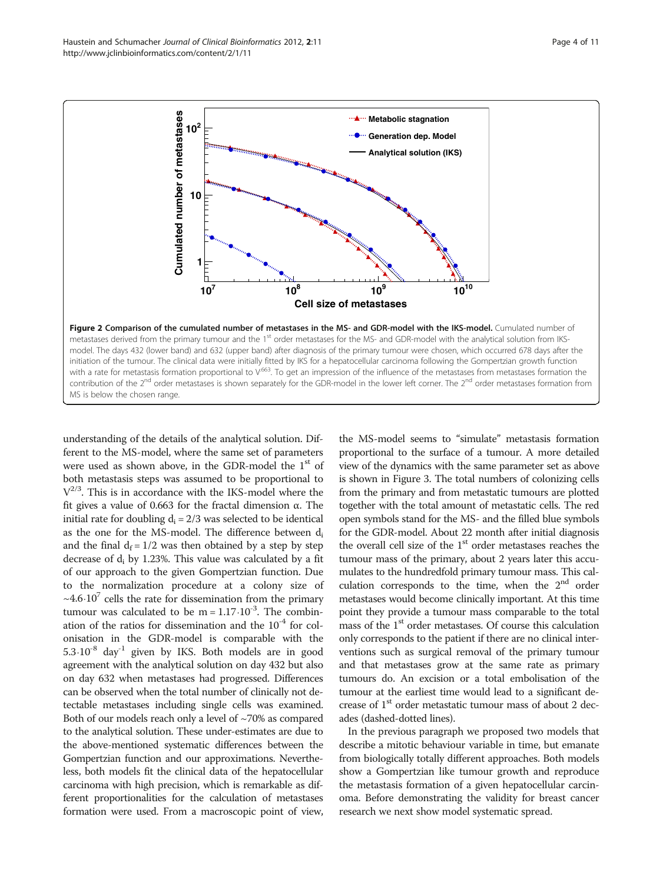understanding of the details of the analytical solution. Different to the MS-model, where the same set of parameters were used as shown above, in the GDR-model the  $1<sup>st</sup>$  of both metastasis steps was assumed to be proportional to  $V^{2/3}$ . This is in accordance with the IKS-model where the fit gives a value of 0.663 for the fractal dimension α. The initial rate for doubling  $d_i = 2/3$  was selected to be identical as the one for the MS-model. The difference between  $d_i$ and the final  $d_f = 1/2$  was then obtained by a step by step decrease of di by 1.23%. This value was calculated by a fit of our approach to the given Gompertzian function. Due to the normalization procedure at a colony size of  $\sim$ 4.6⋅10<sup>7</sup> cells the rate for dissemination from the primary tumour was calculated to be m =  $1.17 \cdot 10^{-3}$ . The combination of the ratios for dissemination and the  $10^{-4}$  for colonisation in the GDR-model is comparable with the 5.3⋅10-8 day-1 given by IKS. Both models are in good agreement with the analytical solution on day 432 but also on day 632 when metastases had progressed. Differences can be observed when the total number of clinically not detectable metastases including single cells was examined. Both of our models reach only a level of ~70% as compared to the analytical solution. These under-estimates are due to the above-mentioned systematic differences between the Gompertzian function and our approximations. Nevertheless, both models fit the clinical data of the hepatocellular carcinoma with high precision, which is remarkable as different proportionalities for the calculation of metastases

formation were used. From a macroscopic point of view,

the MS-model seems to "simulate" metastasis formation proportional to the surface of a tumour. A more detailed view of the dynamics with the same parameter set as above is shown in Figure [3.](#page-4-0) The total numbers of colonizing cells from the primary and from metastatic tumours are plotted together with the total amount of metastatic cells. The red open symbols stand for the MS- and the filled blue symbols for the GDR-model. About 22 month after initial diagnosis the overall cell size of the  $1<sup>st</sup>$  order metastases reaches the tumour mass of the primary, about 2 years later this accumulates to the hundredfold primary tumour mass. This calculation corresponds to the time, when the  $2<sup>nd</sup>$  order metastases would become clinically important. At this time point they provide a tumour mass comparable to the total mass of the 1<sup>st</sup> order metastases. Of course this calculation only corresponds to the patient if there are no clinical interventions such as surgical removal of the primary tumour and that metastases grow at the same rate as primary tumours do. An excision or a total embolisation of the tumour at the earliest time would lead to a significant decrease of 1<sup>st</sup> order metastatic tumour mass of about 2 decades (dashed-dotted lines).

In the previous paragraph we proposed two models that describe a mitotic behaviour variable in time, but emanate from biologically totally different approaches. Both models show a Gompertzian like tumour growth and reproduce the metastasis formation of a given hepatocellular carcinoma. Before demonstrating the validity for breast cancer research we next show model systematic spread.

Figure 2 Comparison of the cumulated number of metastases in the MS- and GDR-model with the IKS-model. Cumulated number of metastases derived from the primary tumour and the 1<sup>st</sup> order metastases for the MS- and GDR-model with the analytical solution from IKSmodel. The days 432 (lower band) and 632 (upper band) after diagnosis of the primary tumour were chosen, which occurred 678 days after the initiation of the tumour. The clinical data were initially fitted by IKS for a hepatocellular carcinoma following the Gompertzian growth function with a rate for metastasis formation proportional to  $V^{663}$ . To get an impression of the influence of the metastases from metastases formation the contribution of the 2<sup>nd</sup> order metastases is shown separately for the GDR-model in the lower left corner. The 2<sup>nd</sup> order metastases formation from MS is below the chosen range.

<span id="page-3-0"></span>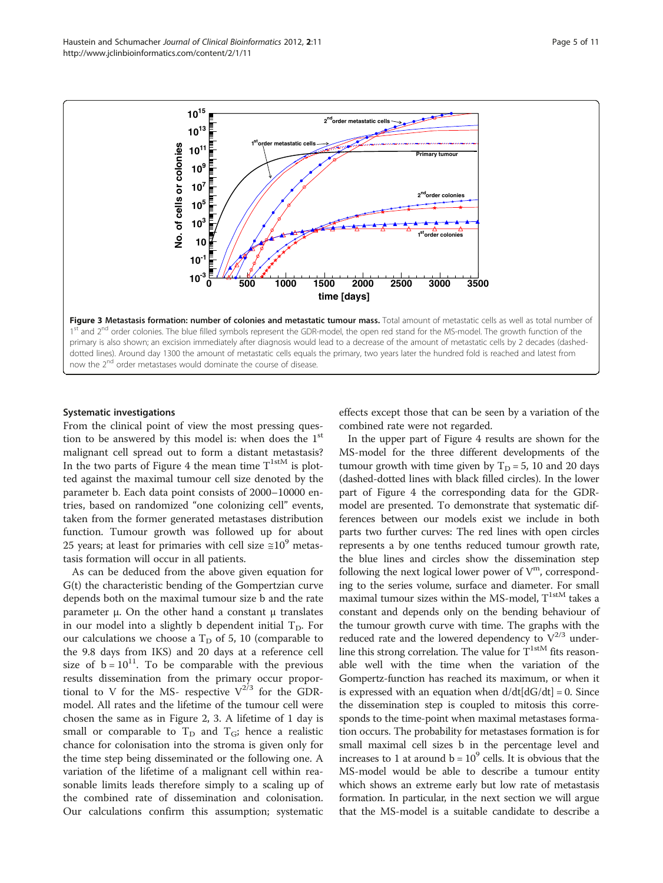Systematic investigations From the clinical point of view the most pressing question to be answered by this model is: when does the  $1<sup>st</sup>$ malignant cell spread out to form a distant metastasis? In the two parts of Figure [4](#page-5-0) the mean time  $T^{1stM}$  is plotted against the maximal tumour cell size denoted by the parameter b. Each data point consists of 2000–10000 entries, based on randomized "one colonizing cell" events, taken from the former generated metastases distribution function. Tumour growth was followed up for about 25 years; at least for primaries with cell size  $\approx 10^9$  metastasis formation will occur in all patients.

As can be deduced from the above given equation for G(t) the characteristic bending of the Gompertzian curve depends both on the maximal tumour size b and the rate parameter μ. On the other hand a constant μ translates in our model into a slightly b dependent initial  $T_D$ . For our calculations we choose a  $T_D$  of 5, 10 (comparable to the 9.8 days from IKS) and 20 days at a reference cell size of  $b = 10^{11}$ . To be comparable with the previous results dissemination from the primary occur proportional to V for the MS- respective  $V^{2/3}$  for the GDRmodel. All rates and the lifetime of the tumour cell were chosen the same as in Figure [2](#page-3-0), 3. A lifetime of 1 day is small or comparable to  $T_D$  and  $T_G$ ; hence a realistic chance for colonisation into the stroma is given only for the time step being disseminated or the following one. A variation of the lifetime of a malignant cell within reasonable limits leads therefore simply to a scaling up of the combined rate of dissemination and colonisation. Our calculations confirm this assumption; systematic effects except those that can be seen by a variation of the combined rate were not regarded.

**Primary tumour**

**d** order colonies

 $1<sup>st</sup>$  order colonies

In the upper part of Figure [4](#page-5-0) results are shown for the MS-model for the three different developments of the tumour growth with time given by  $T_D = 5$ , 10 and 20 days (dashed-dotted lines with black filled circles). In the lower part of Figure [4](#page-5-0) the corresponding data for the GDRmodel are presented. To demonstrate that systematic differences between our models exist we include in both parts two further curves: The red lines with open circles represents a by one tenths reduced tumour growth rate, the blue lines and circles show the dissemination step following the next logical lower power of  $V<sup>m</sup>$ , corresponding to the series volume, surface and diameter. For small maximal tumour sizes within the MS-model,  $T^{1stM}$  takes a constant and depends only on the bending behaviour of the tumour growth curve with time. The graphs with the reduced rate and the lowered dependency to  $V^{2/3}$  underline this strong correlation. The value for  $\mathbf{T^{1stM}}$  fits reasonable well with the time when the variation of the Gompertz-function has reached its maximum, or when it is expressed with an equation when  $d/dt[dG/dt] = 0$ . Since the dissemination step is coupled to mitosis this corresponds to the time-point when maximal metastases formation occurs. The probability for metastases formation is for small maximal cell sizes b in the percentage level and increases to 1 at around  $b = 10<sup>9</sup>$  cells. It is obvious that the MS-model would be able to describe a tumour entity which shows an extreme early but low rate of metastasis formation. In particular, in the next section we will argue that the MS-model is a suitable candidate to describe a



**1st** order metastatic cells

**time [days] 0 500 1000 1500 2000 2500 3000 3500**

 $2<sup>nd</sup>$ order metastatic cells

**No. of cells or colonies**

<span id="page-4-0"></span>**Jo. of cells or colonies**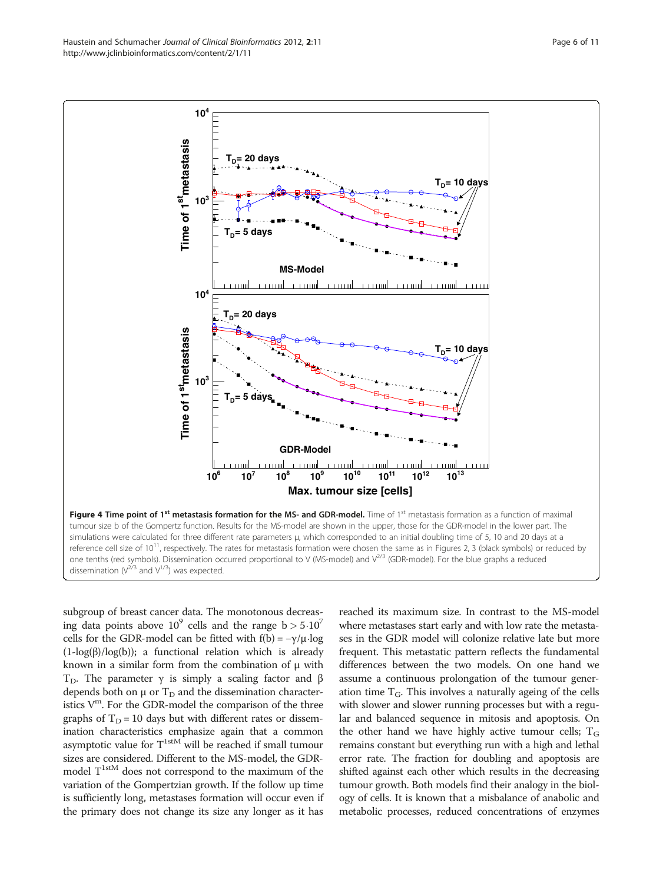<span id="page-5-0"></span>Haustein and Schumacher Journal of Clinical Bioinformatics 2012, 2:11 Page 6 of 11 http://www.jclinbioinformatics.com/content/2/1/11



subgroup of breast cancer data. The monotonous decreasing data points above 10<sup>9</sup> cells and the range  $b > 5.10^7$ cells for the GDR-model can be fitted with  $f(b) = -\gamma/\mu \cdot \log \frac{f(b)}{f(b)}$  $(1-\log(\beta)/\log(b))$ ; a functional relation which is already known in a similar form from the combination of μ with T<sub>D</sub>. The parameter γ is simply a scaling factor and β depends both on  $\mu$  or  $T_D$  and the dissemination characteristics  $\text{V}^{\text{m}}.$  For the GDR-model the comparison of the three graphs of  $T_D = 10$  days but with different rates or dissemination characteristics emphasize again that a common asymptotic value for  $T^{1stM}$  will be reached if small tumour sizes are considered. Different to the MS-model, the GDRmodel  $\text{T}^{\text{1stM}}$  does not correspond to the maximum of the variation of the Gompertzian growth. If the follow up time is sufficiently long, metastases formation will occur even if the primary does not change its size any longer as it has

reached its maximum size. In contrast to the MS-model where metastases start early and with low rate the metastases in the GDR model will colonize relative late but more frequent. This metastatic pattern reflects the fundamental differences between the two models. On one hand we assume a continuous prolongation of the tumour generation time  $T_G$ . This involves a naturally ageing of the cells with slower and slower running processes but with a regular and balanced sequence in mitosis and apoptosis. On the other hand we have highly active tumour cells;  $T_G$ remains constant but everything run with a high and lethal error rate. The fraction for doubling and apoptosis are shifted against each other which results in the decreasing tumour growth. Both models find their analogy in the biology of cells. It is known that a misbalance of anabolic and metabolic processes, reduced concentrations of enzymes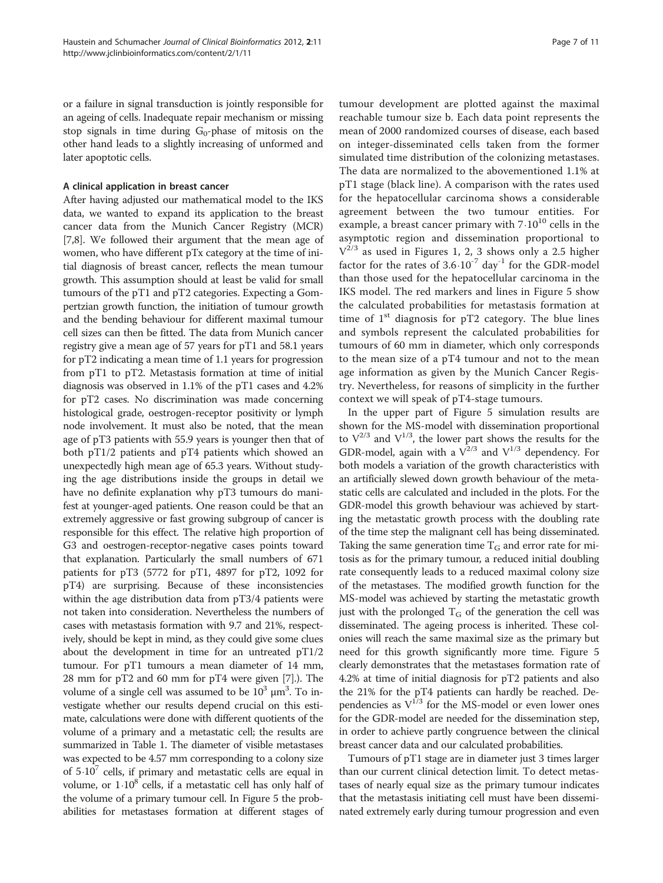or a failure in signal transduction is jointly responsible for an ageing of cells. Inadequate repair mechanism or missing stop signals in time during  $G_0$ -phase of mitosis on the other hand leads to a slightly increasing of unformed and later apoptotic cells.

#### A clinical application in breast cancer

After having adjusted our mathematical model to the IKS data, we wanted to expand its application to the breast cancer data from the Munich Cancer Registry (MCR) [[7,8](#page-10-0)]. We followed their argument that the mean age of women, who have different pTx category at the time of initial diagnosis of breast cancer, reflects the mean tumour growth. This assumption should at least be valid for small tumours of the pT1 and pT2 categories. Expecting a Gompertzian growth function, the initiation of tumour growth and the bending behaviour for different maximal tumour cell sizes can then be fitted. The data from Munich cancer registry give a mean age of 57 years for pT1 and 58.1 years for pT2 indicating a mean time of 1.1 years for progression from pT1 to pT2. Metastasis formation at time of initial diagnosis was observed in 1.1% of the pT1 cases and 4.2% for pT2 cases. No discrimination was made concerning histological grade, oestrogen-receptor positivity or lymph node involvement. It must also be noted, that the mean age of pT3 patients with 55.9 years is younger then that of both pT1/2 patients and pT4 patients which showed an unexpectedly high mean age of 65.3 years. Without studying the age distributions inside the groups in detail we have no definite explanation why pT3 tumours do manifest at younger-aged patients. One reason could be that an extremely aggressive or fast growing subgroup of cancer is responsible for this effect. The relative high proportion of G3 and oestrogen-receptor-negative cases points toward that explanation. Particularly the small numbers of 671 patients for pT3 (5772 for pT1, 4897 for pT2, 1092 for pT4) are surprising. Because of these inconsistencies within the age distribution data from pT3/4 patients were not taken into consideration. Nevertheless the numbers of cases with metastasis formation with 9.7 and 21%, respectively, should be kept in mind, as they could give some clues about the development in time for an untreated pT1/2 tumour. For pT1 tumours a mean diameter of 14 mm, 28 mm for pT2 and 60 mm for pT4 were given [[7](#page-10-0)].). The volume of a single cell was assumed to be  $10^3 \mu m^3$ . To investigate whether our results depend crucial on this estimate, calculations were done with different quotients of the volume of a primary and a metastatic cell; the results are summarized in Table [1](#page-7-0). The diameter of visible metastases was expected to be 4.57 mm corresponding to a colony size of  $5·10<sup>7</sup>$  cells, if primary and metastatic cells are equal in volume, or 1⋅108 cells, if a metastatic cell has only half of the volume of a primary tumour cell. In Figure [5](#page-8-0) the probabilities for metastases formation at different stages of

tumour development are plotted against the maximal reachable tumour size b. Each data point represents the mean of 2000 randomized courses of disease, each based on integer-disseminated cells taken from the former simulated time distribution of the colonizing metastases. The data are normalized to the abovementioned 1.1% at pT1 stage (black line). A comparison with the rates used for the hepatocellular carcinoma shows a considerable agreement between the two tumour entities. For example, a breast cancer primary with  $7·10^{10}$  cells in the asymptotic region and dissemination proportional to  $V^{2/3}$  as used in Figures [1,](#page-2-0) [2,](#page-3-0) [3](#page-4-0) shows only a 2.5 higher factor for the rates of  $3.6 \cdot 10^{-7}$  day<sup>-1</sup> for the GDR-model than those used for the hepatocellular carcinoma in the IKS model. The red markers and lines in Figure [5](#page-8-0) show the calculated probabilities for metastasis formation at time of  $1<sup>st</sup>$  diagnosis for pT2 category. The blue lines and symbols represent the calculated probabilities for tumours of 60 mm in diameter, which only corresponds to the mean size of a pT4 tumour and not to the mean age information as given by the Munich Cancer Registry. Nevertheless, for reasons of simplicity in the further context we will speak of pT4-stage tumours.

In the upper part of Figure [5](#page-8-0) simulation results are shown for the MS-model with dissemination proportional to  $V^{2/3}$  and  $V^{1/3}$ , the lower part shows the results for the GDR-model, again with a  $\overline{V}^{2/3}$  and  $V^{1/3}$  dependency. For both models a variation of the growth characteristics with an artificially slewed down growth behaviour of the metastatic cells are calculated and included in the plots. For the GDR-model this growth behaviour was achieved by starting the metastatic growth process with the doubling rate of the time step the malignant cell has being disseminated. Taking the same generation time  $T_G$  and error rate for mitosis as for the primary tumour, a reduced initial doubling rate consequently leads to a reduced maximal colony size of the metastases. The modified growth function for the MS-model was achieved by starting the metastatic growth just with the prolonged  $T_G$  of the generation the cell was disseminated. The ageing process is inherited. These colonies will reach the same maximal size as the primary but need for this growth significantly more time. Figure [5](#page-8-0) clearly demonstrates that the metastases formation rate of 4.2% at time of initial diagnosis for pT2 patients and also the 21% for the pT4 patients can hardly be reached. Dependencies as  $V^{1/3}$  for the MS-model or even lower ones for the GDR-model are needed for the dissemination step, in order to achieve partly congruence between the clinical breast cancer data and our calculated probabilities.

Tumours of pT1 stage are in diameter just 3 times larger than our current clinical detection limit. To detect metastases of nearly equal size as the primary tumour indicates that the metastasis initiating cell must have been disseminated extremely early during tumour progression and even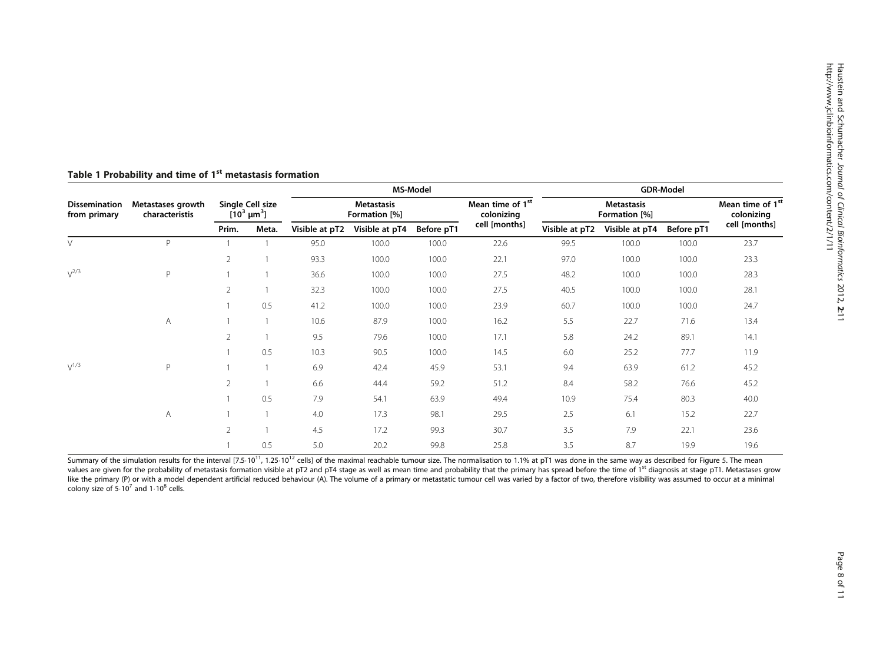| <b>Dissemination</b><br>from primary | Metastases growth<br>characteristis |                                      |       | <b>MS-Model</b>                    |                |            |                                            | <b>GDR-Model</b>                   |                |            |                                |
|--------------------------------------|-------------------------------------|--------------------------------------|-------|------------------------------------|----------------|------------|--------------------------------------------|------------------------------------|----------------|------------|--------------------------------|
|                                      |                                     | Single Cell size<br>$[10^3 \mu m^3]$ |       | <b>Metastasis</b><br>Formation [%] |                |            | Mean time of 1 <sup>st</sup><br>colonizing | <b>Metastasis</b><br>Formation [%] |                |            | Mean time of 1st<br>colonizing |
|                                      |                                     | Prim.                                | Meta. | Visible at pT2                     | Visible at pT4 | Before pT1 | cell [months]                              | Visible at pT2                     | Visible at pT4 | Before pT1 | cell [months]                  |
| $\vee$                               | P                                   |                                      |       | 95.0                               | 100.0          | 100.0      | 22.6                                       | 99.5                               | 100.0          | 100.0      | 23.7                           |
|                                      |                                     | $\overline{2}$                       |       | 93.3                               | 100.0          | 100.0      | 22.1                                       | 97.0                               | 100.0          | 100.0      | 23.3                           |
| $V^{2/3}$                            | P                                   |                                      |       | 36.6                               | 100.0          | 100.0      | 27.5                                       | 48.2                               | 100.0          | 100.0      | 28.3                           |
|                                      |                                     | $\overline{2}$                       |       | 32.3                               | 100.0          | 100.0      | 27.5                                       | 40.5                               | 100.0          | 100.0      | 28.1                           |
|                                      |                                     |                                      | 0.5   | 41.2                               | 100.0          | 100.0      | 23.9                                       | 60.7                               | 100.0          | 100.0      | 24.7                           |
|                                      | A                                   |                                      |       | 10.6                               | 87.9           | 100.0      | 16.2                                       | 5.5                                | 22.7           | 71.6       | 13.4                           |
|                                      |                                     | $\overline{2}$                       |       | 9.5                                | 79.6           | 100.0      | 17.1                                       | 5.8                                | 24.2           | 89.1       | 14.1                           |
|                                      |                                     |                                      | 0.5   | 10.3                               | 90.5           | 100.0      | 14.5                                       | 6.0                                | 25.2           | 77.7       | 11.9                           |
| $V^{1/3}$                            | P                                   |                                      |       | 6.9                                | 42.4           | 45.9       | 53.1                                       | 9.4                                | 63.9           | 61.2       | 45.2                           |
|                                      |                                     | $\overline{2}$                       |       | 6.6                                | 44.4           | 59.2       | 51.2                                       | 8.4                                | 58.2           | 76.6       | 45.2                           |
|                                      |                                     |                                      | 0.5   | 7.9                                | 54.1           | 63.9       | 49.4                                       | 10.9                               | 75.4           | 80.3       | 40.0                           |
|                                      | A                                   |                                      |       | 4.0                                | 17.3           | 98.1       | 29.5                                       | 2.5                                | 6.1            | 15.2       | 22.7                           |
|                                      |                                     | $\mathcal{P}$                        |       | 4.5                                | 17.2           | 99.3       | 30.7                                       | 3.5                                | 7.9            | 22.1       | 23.6                           |
|                                      |                                     |                                      | 0.5   | 5.0                                | 20.2           | 99.8       | 25.8                                       | 3.5                                | 8.7            | 19.9       | 19.6                           |

## <span id="page-7-0"></span>Table 1 Probability and time of 1<sup>st</sup> metastasis formation

Summary of the simulation results for the interval [7.5⋅10<sup>11</sup>, 1.25⋅10<sup>12</sup> cells] of the maximal reachable tumour size. The normalisation to 1.1% at pT1 was done in the same way as described for Figure [5.](#page-8-0) The mean values are given for the probability of metastasis formation visible at pT2 and pT4 stage as well as mean time and probability that the primary has spread before the time of 1<sup>st</sup> diagnosis at stage pT1. Metastases grow like the primary (P) or with a model dependent artificial reduced behaviour (A). The volume of a primary or metastatic tumour cell was varied by a factor of two, therefore visibility was assumed to occur at a minimal colony size of  $5·10<sup>7</sup>$  and  $1·10<sup>8</sup>$  cells.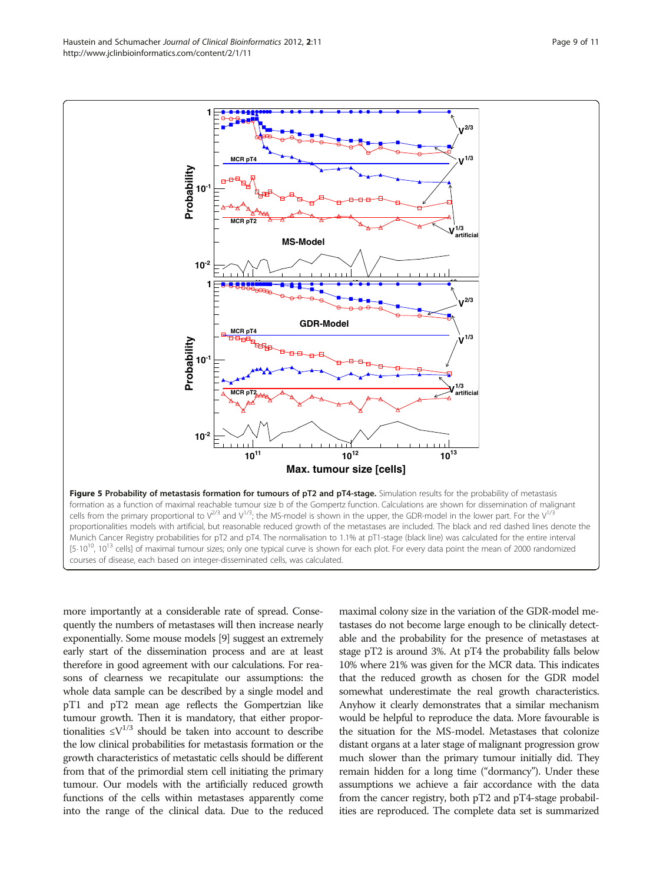more importantly at a considerable rate of spread. Consequently the numbers of metastases will then increase nearly exponentially. Some mouse models [\[9\]](#page-10-0) suggest an extremely early start of the dissemination process and are at least therefore in good agreement with our calculations. For reasons of clearness we recapitulate our assumptions: the whole data sample can be described by a single model and pT1 and pT2 mean age reflects the Gompertzian like tumour growth. Then it is mandatory, that either proportionalities  $\leq V^{1/3}$  should be taken into account to describe the low clinical probabilities for metastasis formation or the growth characteristics of metastatic cells should be different from that of the primordial stem cell initiating the primary tumour. Our models with the artificially reduced growth functions of the cells within metastases apparently come into the range of the clinical data. Due to the reduced maximal colony size in the variation of the GDR-model metastases do not become large enough to be clinically detectable and the probability for the presence of metastases at stage pT2 is around 3%. At pT4 the probability falls below 10% where 21% was given for the MCR data. This indicates that the reduced growth as chosen for the GDR model somewhat underestimate the real growth characteristics. Anyhow it clearly demonstrates that a similar mechanism would be helpful to reproduce the data. More favourable is the situation for the MS-model. Metastases that colonize distant organs at a later stage of malignant progression grow much slower than the primary tumour initially did. They remain hidden for a long time ("dormancy"). Under these assumptions we achieve a fair accordance with the data from the cancer registry, both pT2 and pT4-stage probabilities are reproduced. The complete data set is summarized

Munich Cancer Registry probabilities for pT2 and pT4. The normalisation to 1.1% at pT1-stage (black line) was calculated for the entire interval [5⋅10<sup>10</sup>, 10<sup>13</sup> cells] of maximal tumour sizes; only one typical curve is shown for each plot. For every data point the mean of 2000 randomized courses of disease, each based on integer-disseminated cells, was calculated.

<span id="page-8-0"></span>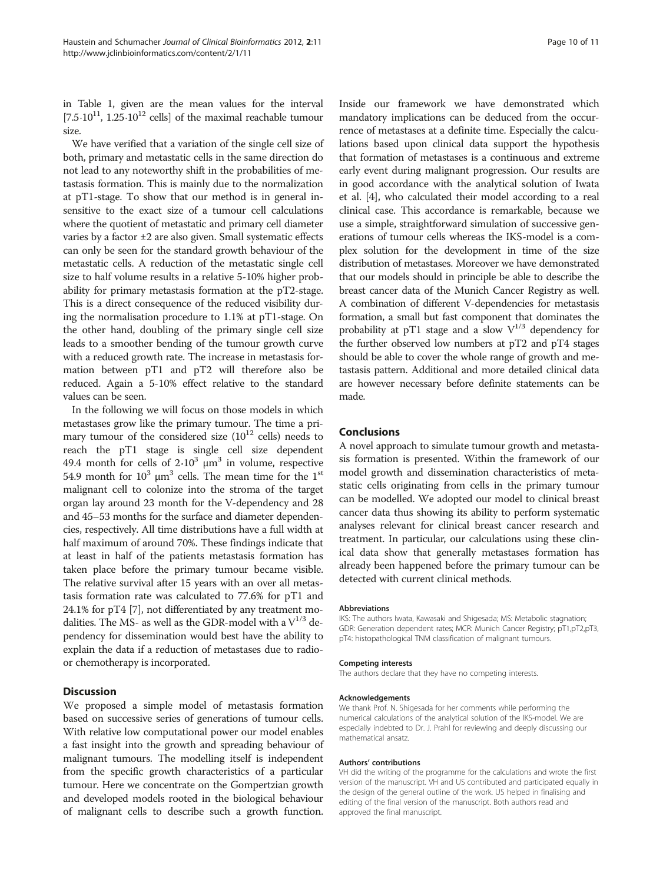in Table [1](#page-7-0), given are the mean values for the interval  $[7.5 \cdot 10^{11}, 1.25 \cdot 10^{12}$  cells] of the maximal reachable tumour size.

We have verified that a variation of the single cell size of both, primary and metastatic cells in the same direction do not lead to any noteworthy shift in the probabilities of metastasis formation. This is mainly due to the normalization at pT1-stage. To show that our method is in general insensitive to the exact size of a tumour cell calculations where the quotient of metastatic and primary cell diameter varies by a factor ±2 are also given. Small systematic effects can only be seen for the standard growth behaviour of the metastatic cells. A reduction of the metastatic single cell size to half volume results in a relative 5-10% higher probability for primary metastasis formation at the pT2-stage. This is a direct consequence of the reduced visibility during the normalisation procedure to 1.1% at pT1-stage. On the other hand, doubling of the primary single cell size leads to a smoother bending of the tumour growth curve with a reduced growth rate. The increase in metastasis formation between pT1 and pT2 will therefore also be reduced. Again a 5-10% effect relative to the standard values can be seen.

In the following we will focus on those models in which metastases grow like the primary tumour. The time a primary tumour of the considered size  $(10^{12} \text{ cells})$  needs to reach the pT1 stage is single cell size dependent 49.4 month for cells of  $2·10<sup>3</sup> \mu m<sup>3</sup>$  in volume, respective 54.9 month for  $10^3 \mu m^3$  cells. The mean time for the 1<sup>st</sup> malignant cell to colonize into the stroma of the target organ lay around 23 month for the V-dependency and 28 and 45–53 months for the surface and diameter dependencies, respectively. All time distributions have a full width at half maximum of around 70%. These findings indicate that at least in half of the patients metastasis formation has taken place before the primary tumour became visible. The relative survival after 15 years with an over all metastasis formation rate was calculated to 77.6% for pT1 and 24.1% for pT4 [\[7\]](#page-10-0), not differentiated by any treatment modalities. The MS- as well as the GDR-model with a  $\rm V^{1/3}$  dependency for dissemination would best have the ability to explain the data if a reduction of metastases due to radioor chemotherapy is incorporated.

## **Discussion**

We proposed a simple model of metastasis formation based on successive series of generations of tumour cells. With relative low computational power our model enables a fast insight into the growth and spreading behaviour of malignant tumours. The modelling itself is independent from the specific growth characteristics of a particular tumour. Here we concentrate on the Gompertzian growth and developed models rooted in the biological behaviour of malignant cells to describe such a growth function.

Inside our framework we have demonstrated which mandatory implications can be deduced from the occurrence of metastases at a definite time. Especially the calculations based upon clinical data support the hypothesis that formation of metastases is a continuous and extreme early event during malignant progression. Our results are in good accordance with the analytical solution of Iwata et al. [[4](#page-10-0)], who calculated their model according to a real clinical case. This accordance is remarkable, because we use a simple, straightforward simulation of successive generations of tumour cells whereas the IKS-model is a complex solution for the development in time of the size distribution of metastases. Moreover we have demonstrated that our models should in principle be able to describe the breast cancer data of the Munich Cancer Registry as well. A combination of different V-dependencies for metastasis formation, a small but fast component that dominates the probability at pT1 stage and a slow  $V^{1/3}$  dependency for the further observed low numbers at pT2 and pT4 stages should be able to cover the whole range of growth and metastasis pattern. Additional and more detailed clinical data are however necessary before definite statements can be made.

#### Conclusions

A novel approach to simulate tumour growth and metastasis formation is presented. Within the framework of our model growth and dissemination characteristics of metastatic cells originating from cells in the primary tumour can be modelled. We adopted our model to clinical breast cancer data thus showing its ability to perform systematic analyses relevant for clinical breast cancer research and treatment. In particular, our calculations using these clinical data show that generally metastases formation has already been happened before the primary tumour can be detected with current clinical methods.

#### Abbreviations

IKS: The authors Iwata, Kawasaki and Shigesada; MS: Metabolic stagnation; GDR: Generation dependent rates; MCR: Munich Cancer Registry; pT1,pT2,pT3, pT4: histopathological TNM classification of malignant tumours.

#### Competing interests

The authors declare that they have no competing interests.

#### Acknowledgements

We thank Prof. N. Shigesada for her comments while performing the numerical calculations of the analytical solution of the IKS-model. We are especially indebted to Dr. J. Prahl for reviewing and deeply discussing our mathematical ansatz.

#### Authors' contributions

VH did the writing of the programme for the calculations and wrote the first version of the manuscript. VH and US contributed and participated equally in the design of the general outline of the work. US helped in finalising and editing of the final version of the manuscript. Both authors read and approved the final manuscript.